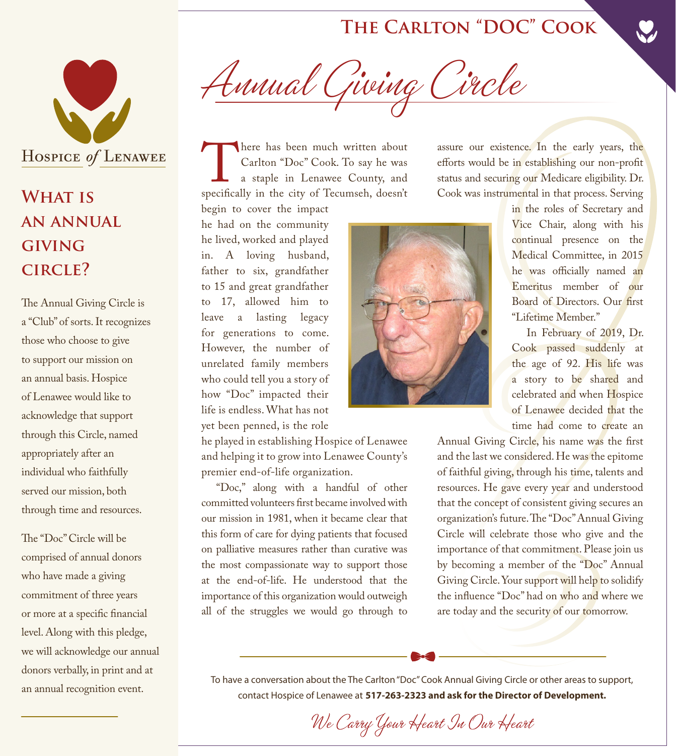## **The Carlton "DOC" Cook**



## **What is an annual giving circle?**

The Annual Giving Circle is a "Club" of sorts. It recognizes those who choose to give to support our mission on an annual basis. Hospice of Lenawee would like to acknowledge that support through this Circle, named appropriately after an individual who faithfully served our mission, both through time and resources.

The "Doc" Circle will be comprised of annual donors who have made a giving commitment of three years or more at a specific financial level. Along with this pledge, we will acknowledge our annual donors verbally, in print and at an annual recognition event.

Annual Giving Circle

There has been much written about<br>
Carlton "Doc" Cook. To say he was<br>
a staple in Lenawee County, and<br>
specifically in the city of Tecumseh, doesn't Carlton "Doc" Cook. To say he was a staple in Lenawee County, and begin to cover the impact

he had on the community he lived, worked and played in. A loving husband, father to six, grandfather to 15 and great grandfather to 17, allowed him to leave a lasting legacy for generations to come. However, the number of unrelated family members who could tell you a story of how "Doc" impacted their life is endless. What has not yet been penned, is the role

he played in establishing Hospice of Lenawee and helping it to grow into Lenawee County's premier end-of-life organization.

"Doc," along with a handful of other committed volunteers first became involved with our mission in 1981, when it became clear that this form of care for dying patients that focused on palliative measures rather than curative was the most compassionate way to support those at the end-of-life. He understood that the importance of this organization would outweigh all of the struggles we would go through to



assure our existence. In the early years, the efforts would be in establishing our non-profit status and securing our Medicare eligibility. Dr. Cook was instrumental in that process. Serving

in the roles of Secretary and Vice Chair, along with his continual presence on the Medical Committee, in 2015 he was officially named an Emeritus member of our Board of Directors. Our first "Lifetime Member."

In February of 2019, Dr. Cook passed suddenly at the age of 92. His life was a story to be shared and celebrated and when Hospice of Lenawee decided that the time had come to create an

Annual Giving Circle, his name was the first and the last we considered. He was the epitome of faithful giving, through his time, talents and resources. He gave every year and understood that the concept of consistent giving secures an organization's future. The "Doc" Annual Giving Circle will celebrate those who give and the importance of that commitment. Please join us by becoming a member of the "Doc" Annual Giving Circle. Your support will help to solidify the influence "Doc" had on who and where we are today and the security of our tomorrow.

To have a conversation about the The Carlton "Doc" Cook Annual Giving Circle or other areas to support, contact Hospice of Lenawee at **517-263-2323 and ask for the Director of Development.**

We Carry Your Heart In Our Heart